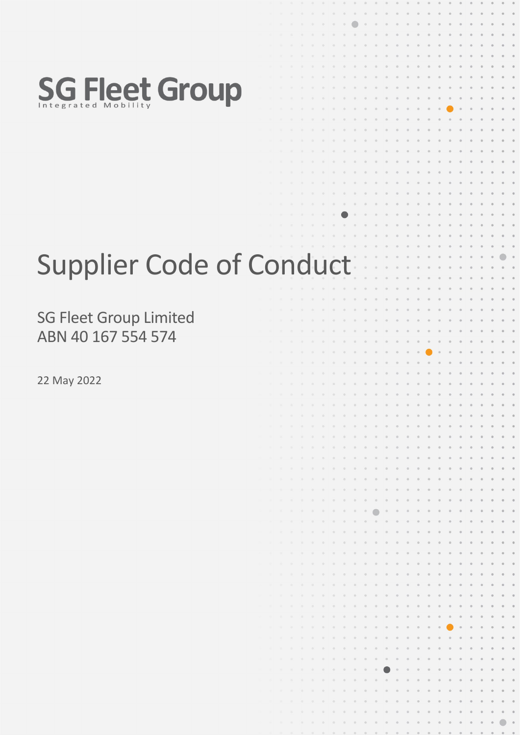

# Supplier Code of Conduct

SG Fleet Group Limited ABN 40 167 554 574

22 May 2022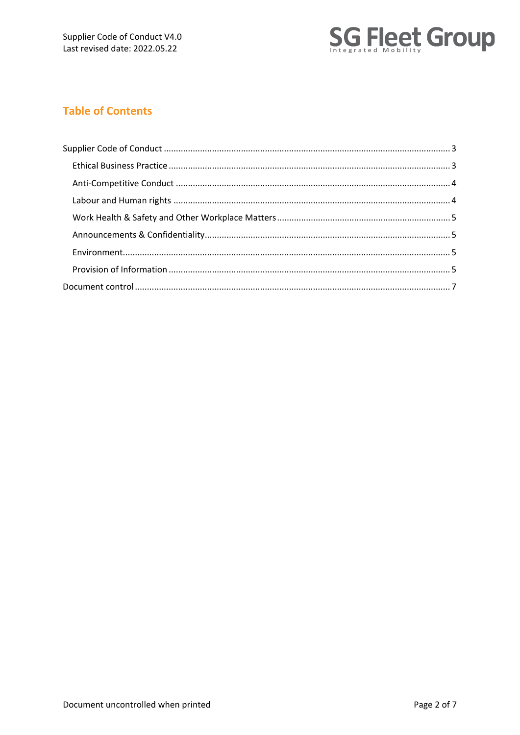

# **Table of Contents**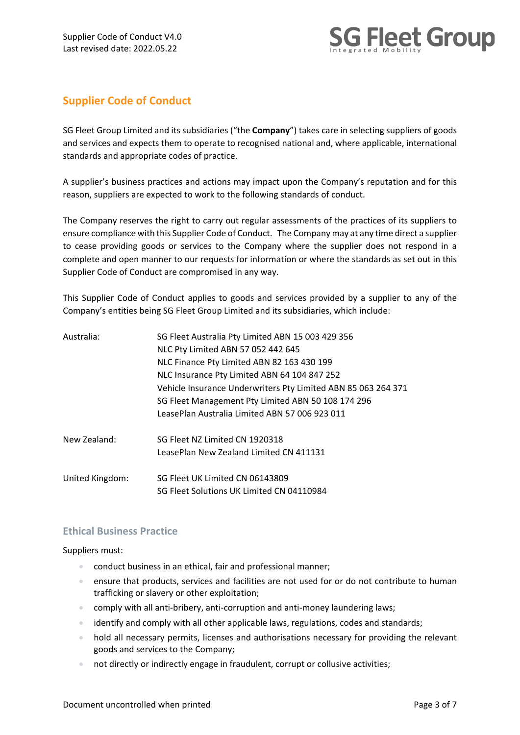

## <span id="page-2-0"></span>**Supplier Code of Conduct**

SG Fleet Group Limited and its subsidiaries ("the **Company**") takes care in selecting suppliers of goods and services and expects them to operate to recognised national and, where applicable, international standards and appropriate codes of practice.

A supplier's business practices and actions may impact upon the Company's reputation and for this reason, suppliers are expected to work to the following standards of conduct.

The Company reserves the right to carry out regular assessments of the practices of its suppliers to ensure compliance with this Supplier Code of Conduct. The Company may at any time direct a supplier to cease providing goods or services to the Company where the supplier does not respond in a complete and open manner to our requests for information or where the standards as set out in this Supplier Code of Conduct are compromised in any way.

This Supplier Code of Conduct applies to goods and services provided by a supplier to any of the Company's entities being SG Fleet Group Limited and its subsidiaries, which include:

| Australia:      | SG Fleet Australia Pty Limited ABN 15 003 429 356<br>NLC Pty Limited ABN 57 052 442 645<br>NLC Finance Pty Limited ABN 82 163 430 199 |  |  |  |
|-----------------|---------------------------------------------------------------------------------------------------------------------------------------|--|--|--|
|                 |                                                                                                                                       |  |  |  |
|                 |                                                                                                                                       |  |  |  |
|                 | NLC Insurance Pty Limited ABN 64 104 847 252                                                                                          |  |  |  |
|                 | Vehicle Insurance Underwriters Pty Limited ABN 85 063 264 371                                                                         |  |  |  |
|                 | SG Fleet Management Pty Limited ABN 50 108 174 296                                                                                    |  |  |  |
|                 | LeasePlan Australia Limited ABN 57 006 923 011                                                                                        |  |  |  |
| New Zealand:    | SG Fleet NZ Limited CN 1920318                                                                                                        |  |  |  |
|                 | LeasePlan New Zealand Limited CN 411131                                                                                               |  |  |  |
| United Kingdom: | SG Fleet UK Limited CN 06143809                                                                                                       |  |  |  |
|                 | SG Fleet Solutions UK Limited CN 04110984                                                                                             |  |  |  |

## <span id="page-2-1"></span>**Ethical Business Practice**

Suppliers must:

- conduct business in an ethical, fair and professional manner;
- ensure that products, services and facilities are not used for or do not contribute to human trafficking or slavery or other exploitation;
- comply with all anti-bribery, anti-corruption and anti-money laundering laws;
- identify and comply with all other applicable laws, regulations, codes and standards;
- hold all necessary permits, licenses and authorisations necessary for providing the relevant goods and services to the Company;
- not directly or indirectly engage in fraudulent, corrupt or collusive activities;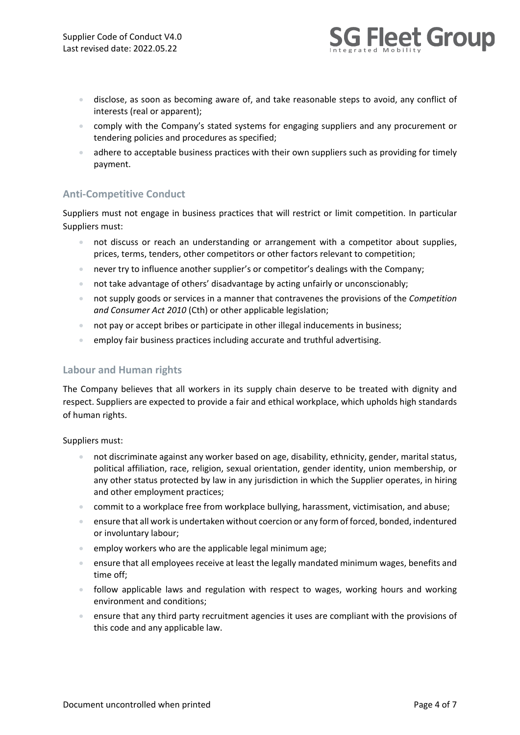

- disclose, as soon as becoming aware of, and take reasonable steps to avoid, any conflict of interests (real or apparent);
- comply with the Company's stated systems for engaging suppliers and any procurement or tendering policies and procedures as specified;
- adhere to acceptable business practices with their own suppliers such as providing for timely payment.

## <span id="page-3-0"></span>**Anti-Competitive Conduct**

Suppliers must not engage in business practices that will restrict or limit competition. In particular Suppliers must:

- not discuss or reach an understanding or arrangement with a competitor about supplies, prices, terms, tenders, other competitors or other factors relevant to competition;
- never try to influence another supplier's or competitor's dealings with the Company;
- not take advantage of others' disadvantage by acting unfairly or unconscionably;
- not supply goods or services in a manner that contravenes the provisions of the *Competition and Consumer Act 2010* (Cth) or other applicable legislation;
- not pay or accept bribes or participate in other illegal inducements in business;
- employ fair business practices including accurate and truthful advertising.

## <span id="page-3-1"></span>**Labour and Human rights**

The Company believes that all workers in its supply chain deserve to be treated with dignity and respect. Suppliers are expected to provide a fair and ethical workplace, which upholds high standards of human rights.

Suppliers must:

- not discriminate against any worker based on age, disability, ethnicity, gender, marital status, political affiliation, race, religion, sexual orientation, gender identity, union membership, or any other status protected by law in any jurisdiction in which the Supplier operates, in hiring and other employment practices;
- commit to a workplace free from workplace bullying, harassment, victimisation, and abuse;
- ensure that all work is undertaken without coercion or any form of forced, bonded, indentured or involuntary labour;
- employ workers who are the applicable legal minimum age;
- ensure that all employees receive at least the legally mandated minimum wages, benefits and time off;
- follow applicable laws and regulation with respect to wages, working hours and working environment and conditions;
- ensure that any third party recruitment agencies it uses are compliant with the provisions of this code and any applicable law.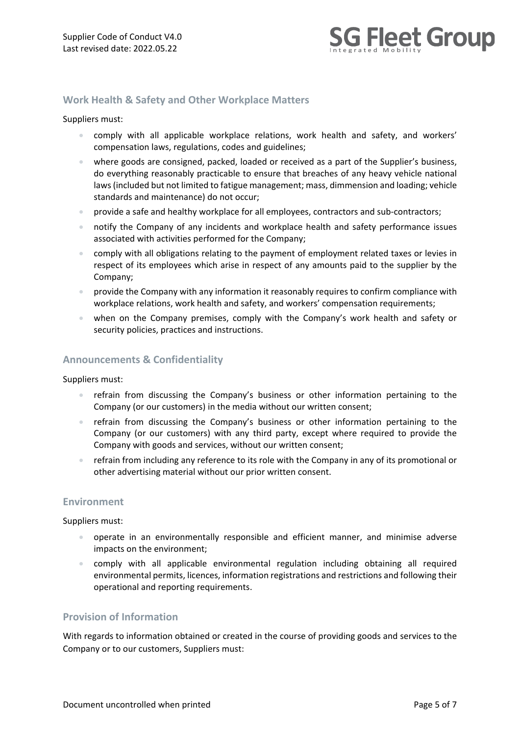

## <span id="page-4-0"></span>**Work Health & Safety and Other Workplace Matters**

#### Suppliers must:

- comply with all applicable workplace relations, work health and safety, and workers' compensation laws, regulations, codes and guidelines;
- where goods are consigned, packed, loaded or received as a part of the Supplier's business, do everything reasonably practicable to ensure that breaches of any heavy vehicle national laws (included but not limited to fatigue management; mass, dimmension and loading; vehicle standards and maintenance) do not occur;
- provide a safe and healthy workplace for all employees, contractors and sub-contractors;
- notify the Company of any incidents and workplace health and safety performance issues associated with activities performed for the Company;
- comply with all obligations relating to the payment of employment related taxes or levies in respect of its employees which arise in respect of any amounts paid to the supplier by the Company;
- provide the Company with any information it reasonably requires to confirm compliance with workplace relations, work health and safety, and workers' compensation requirements;
- when on the Company premises, comply with the Company's work health and safety or security policies, practices and instructions.

#### <span id="page-4-1"></span>**Announcements & Confidentiality**

Suppliers must:

- refrain from discussing the Company's business or other information pertaining to the Company (or our customers) in the media without our written consent;
- refrain from discussing the Company's business or other information pertaining to the Company (or our customers) with any third party, except where required to provide the Company with goods and services, without our written consent;
- refrain from including any reference to its role with the Company in any of its promotional or other advertising material without our prior written consent.

#### <span id="page-4-2"></span>**Environment**

Suppliers must:

- operate in an environmentally responsible and efficient manner, and minimise adverse impacts on the environment;
- comply with all applicable environmental regulation including obtaining all required environmental permits, licences, information registrations and restrictions and following their operational and reporting requirements.

### <span id="page-4-3"></span>**Provision of Information**

With regards to information obtained or created in the course of providing goods and services to the Company or to our customers, Suppliers must: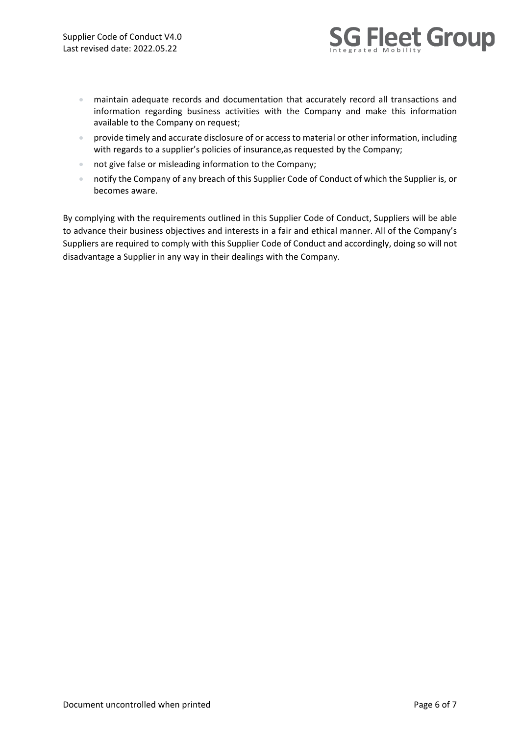

- maintain adequate records and documentation that accurately record all transactions and information regarding business activities with the Company and make this information available to the Company on request;
- provide timely and accurate disclosure of or access to material or other information, including with regards to a supplier's policies of insurance,as requested by the Company;
- not give false or misleading information to the Company;
- notify the Company of any breach of this Supplier Code of Conduct of which the Supplier is, or becomes aware.

By complying with the requirements outlined in this Supplier Code of Conduct, Suppliers will be able to advance their business objectives and interests in a fair and ethical manner. All of the Company's Suppliers are required to comply with this Supplier Code of Conduct and accordingly, doing so will not disadvantage a Supplier in any way in their dealings with the Company.